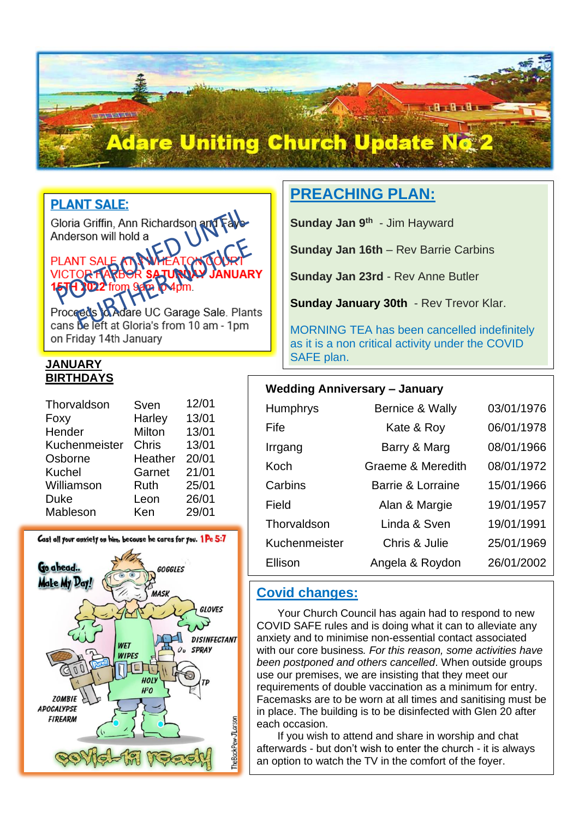# **Adare Uniting Church Update No**

**PLANT SALE:** 

**NEW YEAR** 

I

Gloria Griffin, Ann Richardson and Fav<br>Anderson will hold a Anderson will hold a

# **PLANT**

UC Garage Sale. Plants Procee cans be left at Gloria's from 10 am - 1pm on Friday 14th January

#### **JANUARY BIRTHDAYS**

| Thorvaldson   | Sven    | 12/01 |
|---------------|---------|-------|
| Foxy          | Harley  | 13/01 |
| Hender        | Milton  | 13/01 |
| Kuchenmeister | Chris   | 13/01 |
| Osborne       | Heather | 20/01 |
| <b>Kuchel</b> | Garnet  | 21/01 |
| Williamson    | Ruth    | 25/01 |
| Duke          | Leon    | 26/01 |
| Mableson      | Ken     | 29/01 |



# **PREACHING PLAN:**

**Sunday Jan 9<sup>th</sup> - Jim Hayward** 

**Sunday Jan 16th** – Rev Barrie Carbins

**Sunday Jan 23rd** - Rev Anne Butler

**Sunday January 30th** - Rev Trevor Klar.

MORNING TEA has been cancelled indefinitely as it is a non critical activity under the COVID SAFE plan.

e ferite i

#### **Wedding Anniversary – January**

| <b>Humphrys</b> | <b>Bernice &amp; Wally</b>   | 03/01/1976 |
|-----------------|------------------------------|------------|
| Fife            | Kate & Roy                   | 06/01/1978 |
| Irrgang         | Barry & Marg                 | 08/01/1966 |
| Koch            | <b>Graeme &amp; Meredith</b> | 08/01/1972 |
| Carbins         | Barrie & Lorraine            | 15/01/1966 |
| Field           | Alan & Margie                | 19/01/1957 |
| Thorvaldson     | Linda & Sven                 | 19/01/1991 |
| Kuchenmeister   | Chris & Julie                | 25/01/1969 |
| Ellison         | Angela & Roydon              | 26/01/2002 |

# **Covid changes:**

 Your Church Council has again had to respond to new COVID SAFE rules and is doing what it can to alleviate any anxiety and to minimise non-essential contact associated with our core business*. For this reason, some activities have been postponed and others cancelled*. When outside groups use our premises, we are insisting that they meet our requirements of double vaccination as a minimum for entry. Facemasks are to be worn at all times and sanitising must be in place. The building is to be disinfected with Glen 20 after each occasion.

 If you wish to attend and share in worship and chat afterwards - but don't wish to enter the church - it is always an option to watch the TV in the comfort of the foyer.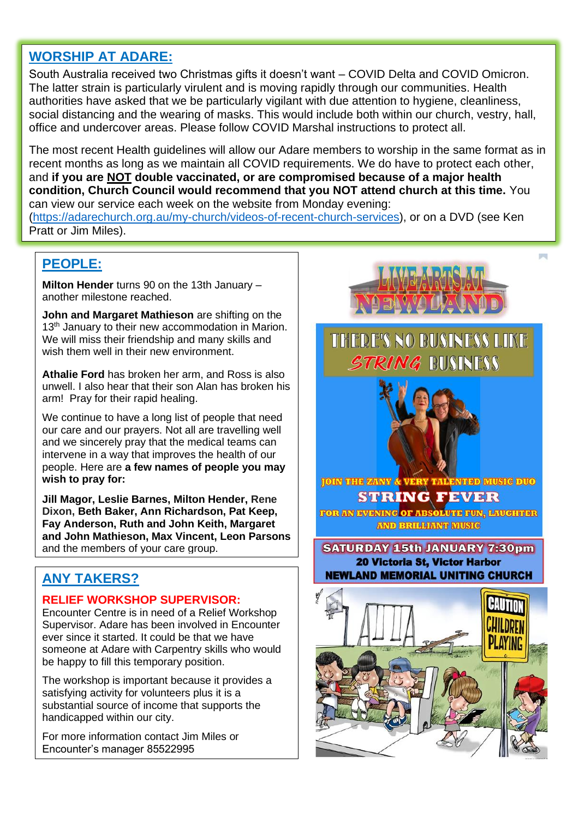# **WORSHIP AT ADARE:**

South Australia received two Christmas gifts it doesn't want – COVID Delta and COVID Omicron. The latter strain is particularly virulent and is moving rapidly through our communities. Health authorities have asked that we be particularly vigilant with due attention to hygiene, cleanliness, social distancing and the wearing of masks. This would include both within our church, vestry, hall, office and undercover areas. Please follow COVID Marshal instructions to protect all.

The most recent Health guidelines will allow our Adare members to worship in the same format as in recent months as long as we maintain all COVID requirements. We do have to protect each other, and **if you are NOT double vaccinated, or are compromised because of a major health condition, Church Council would recommend that you NOT attend church at this time.** You can view our service each week on the website from Monday evening:

[\(https://adarechurch.org.au/my-church/videos-of-recent-church-services\)](https://adarechurch.org.au/my-church/videos-of-recent-church-services), or on a DVD (see Ken Pratt or Jim Miles).

## **PEOPLE:**

**Milton Hender** turns 90 on the 13th January – another milestone reached.

**John and Margaret Mathieson** are shifting on the 13<sup>th</sup> January to their new accommodation in Marion. We will miss their friendship and many skills and wish them well in their new environment.

**Athalie Ford** has broken her arm, and Ross is also unwell. I also hear that their son Alan has broken his arm! Pray for their rapid healing.

We continue to have a long list of people that need our care and our prayers. Not all are travelling well and we sincerely pray that the medical teams can intervene in a way that improves the health of our people. Here are **a few names of people you may wish to pray for:**

**Jill Magor, Leslie Barnes, Milton Hender, Rene Dixon, Beth Baker, Ann Richardson, Pat Keep, Fay Anderson, Ruth and John Keith, Margaret and John Mathieson, Max Vincent, Leon Parsons**  and the members of your care group.

# **ANY TAKERS?**

#### **RELIEF WORKSHOP SUPERVISOR:**

Encounter Centre is in need of a Relief Workshop Supervisor. Adare has been involved in Encounter ever since it started. It could be that we have someone at Adare with Carpentry skills who would be happy to fill this temporary position.

The workshop is important because it provides a satisfying activity for volunteers plus it is a substantial source of income that supports the handicapped within our city.

For more information contact Jim Miles or Encounter's manager 85522995



THERE'S NO BUSINESS LIKE STRING BUSINESS



FOR AN EVENING OF ABSOLUTE FUN, LAUGHTER **AND BRILLIANT MUSIC** 

**SATURDAY 15th JANUARY 7:30pm 20 Victoria St, Victor Harbor NEWLAND MEMORIAL UNITING CHURCH**